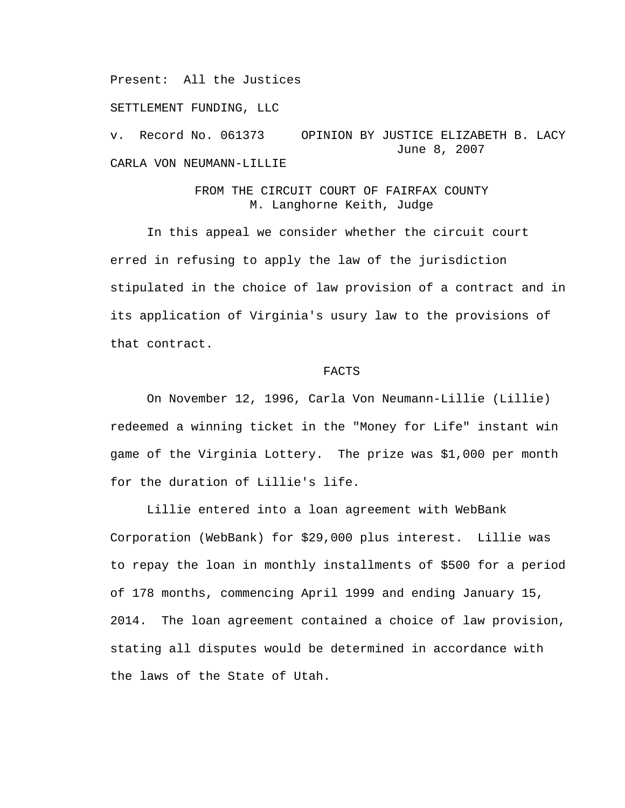Present: All the Justices

SETTLEMENT FUNDING, LLC

v. Record No. 061373 OPINION BY JUSTICE ELIZABETH B. LACY June 8, 2007 CARLA VON NEUMANN-LILLIE

## FROM THE CIRCUIT COURT OF FAIRFAX COUNTY M. Langhorne Keith, Judge

 In this appeal we consider whether the circuit court erred in refusing to apply the law of the jurisdiction stipulated in the choice of law provision of a contract and in its application of Virginia's usury law to the provisions of that contract.

## FACTS

On November 12, 1996, Carla Von Neumann-Lillie (Lillie) redeemed a winning ticket in the "Money for Life" instant win game of the Virginia Lottery. The prize was \$1,000 per month for the duration of Lillie's life.

Lillie entered into a loan agreement with WebBank Corporation (WebBank) for \$29,000 plus interest. Lillie was to repay the loan in monthly installments of \$500 for a period of 178 months, commencing April 1999 and ending January 15, 2014. The loan agreement contained a choice of law provision, stating all disputes would be determined in accordance with the laws of the State of Utah.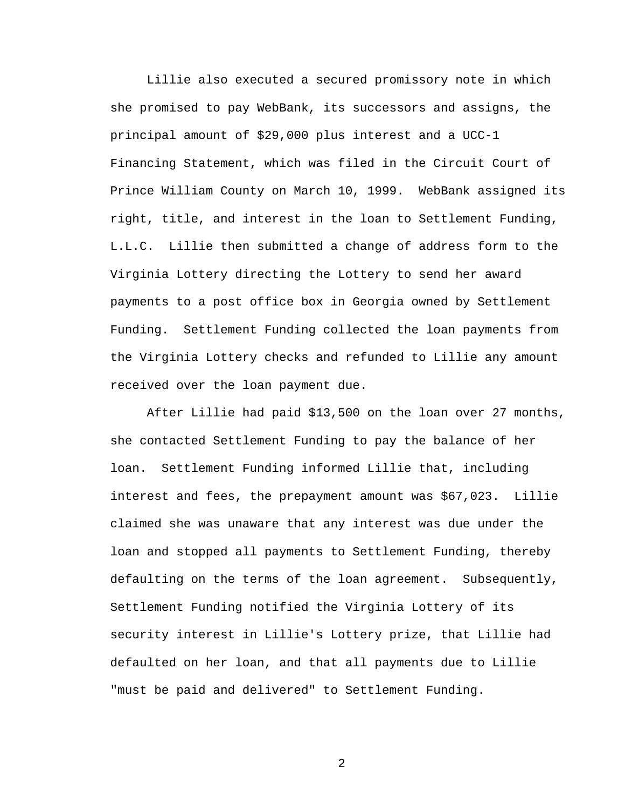Lillie also executed a secured promissory note in which she promised to pay WebBank, its successors and assigns, the principal amount of \$29,000 plus interest and a UCC-1 Financing Statement, which was filed in the Circuit Court of Prince William County on March 10, 1999. WebBank assigned its right, title, and interest in the loan to Settlement Funding, L.L.C. Lillie then submitted a change of address form to the Virginia Lottery directing the Lottery to send her award payments to a post office box in Georgia owned by Settlement Funding. Settlement Funding collected the loan payments from the Virginia Lottery checks and refunded to Lillie any amount received over the loan payment due.

After Lillie had paid \$13,500 on the loan over 27 months, she contacted Settlement Funding to pay the balance of her loan. Settlement Funding informed Lillie that, including interest and fees, the prepayment amount was \$67,023. Lillie claimed she was unaware that any interest was due under the loan and stopped all payments to Settlement Funding, thereby defaulting on the terms of the loan agreement. Subsequently, Settlement Funding notified the Virginia Lottery of its security interest in Lillie's Lottery prize, that Lillie had defaulted on her loan, and that all payments due to Lillie "must be paid and delivered" to Settlement Funding.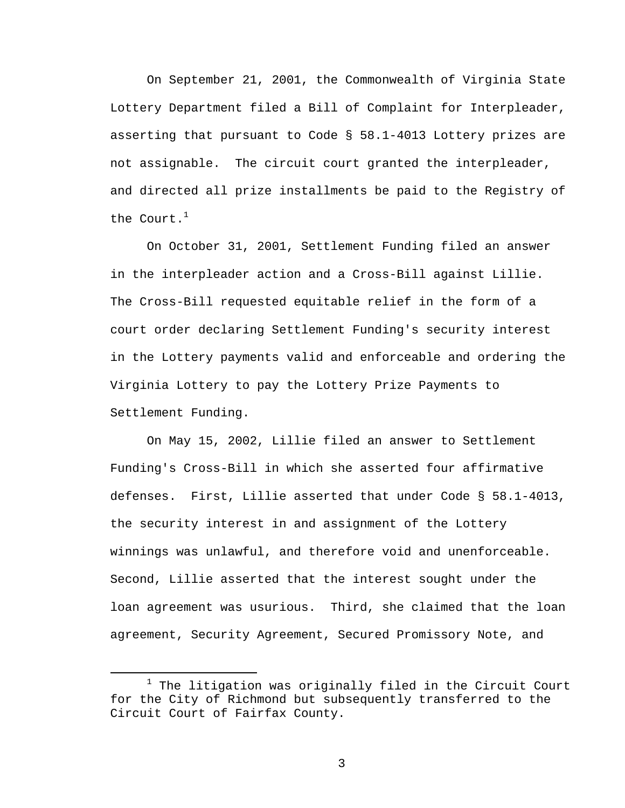On September 21, 2001, the Commonwealth of Virginia State Lottery Department filed a Bill of Complaint for Interpleader, asserting that pursuant to Code § 58.1-4013 Lottery prizes are not assignable. The circuit court granted the interpleader, and directed all prize installments be paid to the Registry of the Court. $^1$ 

On October 31, 2001, Settlement Funding filed an answer in the interpleader action and a Cross-Bill against Lillie. The Cross-Bill requested equitable relief in the form of a court order declaring Settlement Funding's security interest in the Lottery payments valid and enforceable and ordering the Virginia Lottery to pay the Lottery Prize Payments to Settlement Funding.

On May 15, 2002, Lillie filed an answer to Settlement Funding's Cross-Bill in which she asserted four affirmative defenses. First, Lillie asserted that under Code § 58.1-4013, the security interest in and assignment of the Lottery winnings was unlawful, and therefore void and unenforceable. Second, Lillie asserted that the interest sought under the loan agreement was usurious. Third, she claimed that the loan agreement, Security Agreement, Secured Promissory Note, and

<sup>&</sup>lt;u>1</u>  $1$  The litigation was originally filed in the Circuit Court for the City of Richmond but subsequently transferred to the Circuit Court of Fairfax County.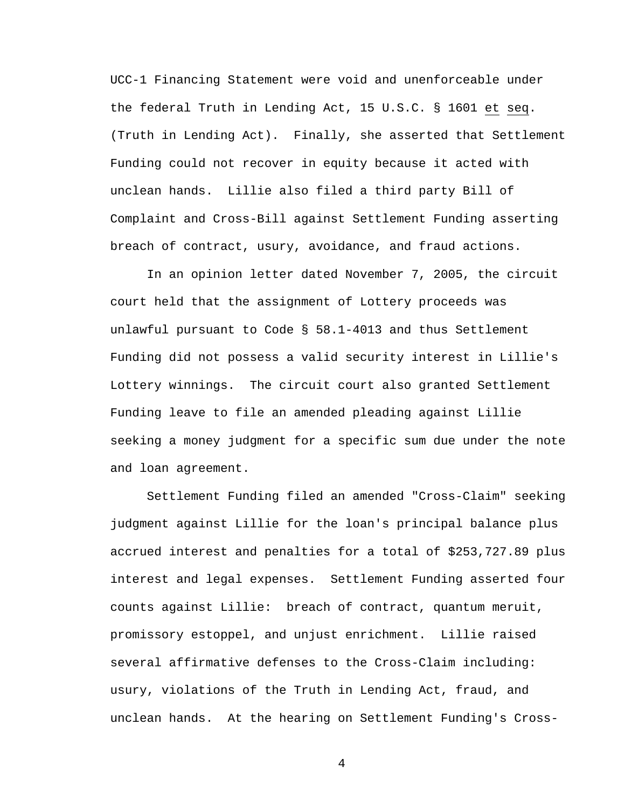UCC-1 Financing Statement were void and unenforceable under the federal Truth in Lending Act, 15 U.S.C. § 1601 et seq. (Truth in Lending Act). Finally, she asserted that Settlement Funding could not recover in equity because it acted with unclean hands. Lillie also filed a third party Bill of Complaint and Cross-Bill against Settlement Funding asserting breach of contract, usury, avoidance, and fraud actions.

In an opinion letter dated November 7, 2005, the circuit court held that the assignment of Lottery proceeds was unlawful pursuant to Code § 58.1-4013 and thus Settlement Funding did not possess a valid security interest in Lillie's Lottery winnings. The circuit court also granted Settlement Funding leave to file an amended pleading against Lillie seeking a money judgment for a specific sum due under the note and loan agreement.

Settlement Funding filed an amended "Cross-Claim" seeking judgment against Lillie for the loan's principal balance plus accrued interest and penalties for a total of \$253,727.89 plus interest and legal expenses. Settlement Funding asserted four counts against Lillie: breach of contract, quantum meruit, promissory estoppel, and unjust enrichment. Lillie raised several affirmative defenses to the Cross-Claim including: usury, violations of the Truth in Lending Act, fraud, and unclean hands. At the hearing on Settlement Funding's Cross-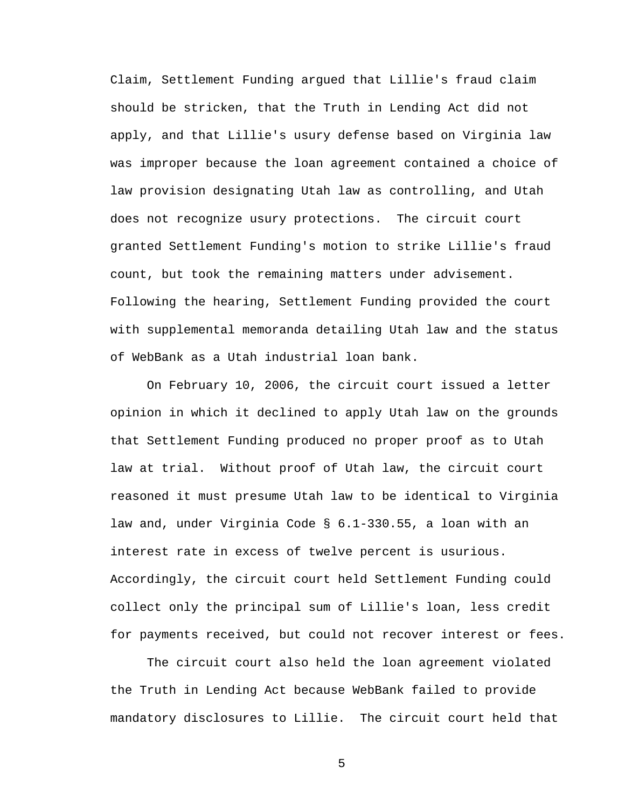Claim, Settlement Funding argued that Lillie's fraud claim should be stricken, that the Truth in Lending Act did not apply, and that Lillie's usury defense based on Virginia law was improper because the loan agreement contained a choice of law provision designating Utah law as controlling, and Utah does not recognize usury protections. The circuit court granted Settlement Funding's motion to strike Lillie's fraud count, but took the remaining matters under advisement. Following the hearing, Settlement Funding provided the court with supplemental memoranda detailing Utah law and the status of WebBank as a Utah industrial loan bank.

On February 10, 2006, the circuit court issued a letter opinion in which it declined to apply Utah law on the grounds that Settlement Funding produced no proper proof as to Utah law at trial. Without proof of Utah law, the circuit court reasoned it must presume Utah law to be identical to Virginia law and, under Virginia Code § 6.1-330.55, a loan with an interest rate in excess of twelve percent is usurious. Accordingly, the circuit court held Settlement Funding could collect only the principal sum of Lillie's loan, less credit for payments received, but could not recover interest or fees.

The circuit court also held the loan agreement violated the Truth in Lending Act because WebBank failed to provide mandatory disclosures to Lillie. The circuit court held that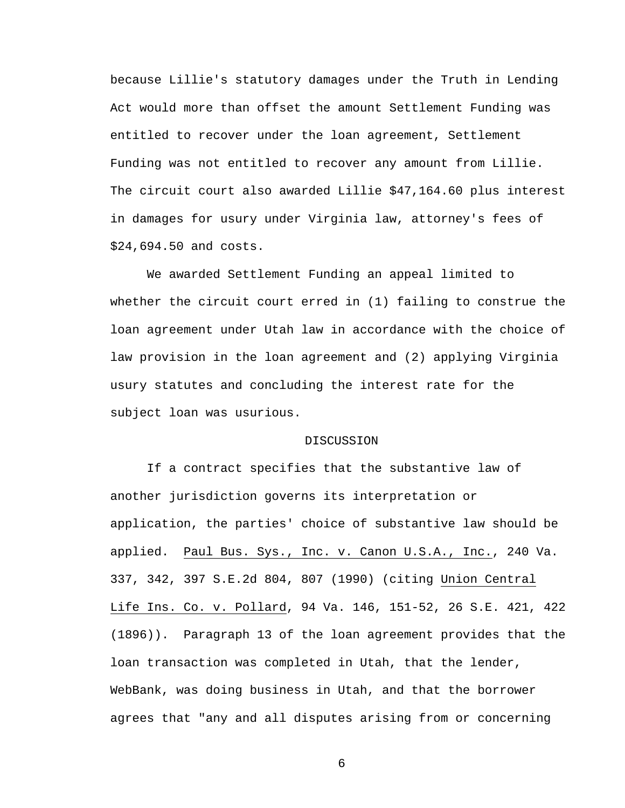because Lillie's statutory damages under the Truth in Lending Act would more than offset the amount Settlement Funding was entitled to recover under the loan agreement, Settlement Funding was not entitled to recover any amount from Lillie. The circuit court also awarded Lillie \$47,164.60 plus interest in damages for usury under Virginia law, attorney's fees of \$24,694.50 and costs.

We awarded Settlement Funding an appeal limited to whether the circuit court erred in (1) failing to construe the loan agreement under Utah law in accordance with the choice of law provision in the loan agreement and (2) applying Virginia usury statutes and concluding the interest rate for the subject loan was usurious.

## DISCUSSION

If a contract specifies that the substantive law of another jurisdiction governs its interpretation or application, the parties' choice of substantive law should be applied. Paul Bus. Sys., Inc. v. Canon U.S.A., Inc., 240 Va. 337, 342, 397 S.E.2d 804, 807 (1990) (citing Union Central Life Ins. Co. v. Pollard, 94 Va. 146, 151-52, 26 S.E. 421, 422 (1896)). Paragraph 13 of the loan agreement provides that the loan transaction was completed in Utah, that the lender, WebBank, was doing business in Utah, and that the borrower agrees that "any and all disputes arising from or concerning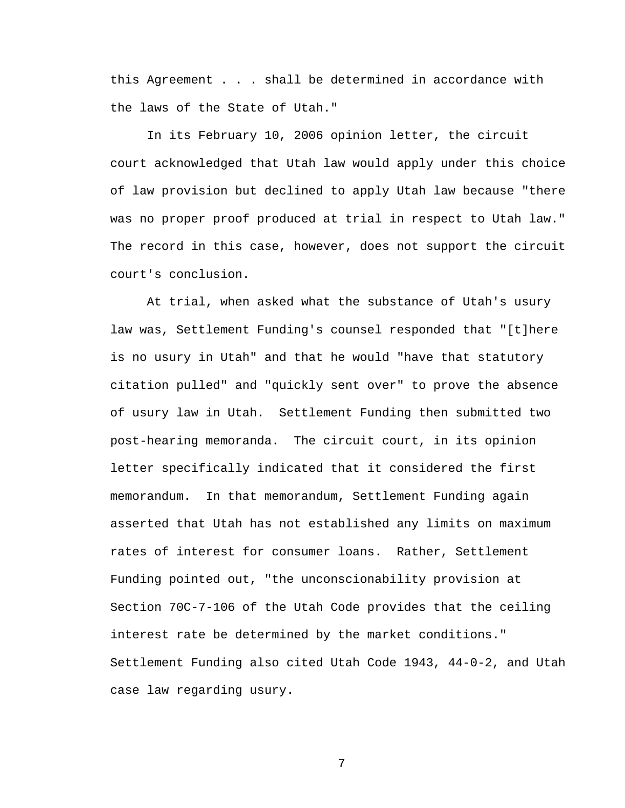this Agreement . . . shall be determined in accordance with the laws of the State of Utah."

In its February 10, 2006 opinion letter, the circuit court acknowledged that Utah law would apply under this choice of law provision but declined to apply Utah law because "there was no proper proof produced at trial in respect to Utah law." The record in this case, however, does not support the circuit court's conclusion.

At trial, when asked what the substance of Utah's usury law was, Settlement Funding's counsel responded that "[t]here is no usury in Utah" and that he would "have that statutory citation pulled" and "quickly sent over" to prove the absence of usury law in Utah. Settlement Funding then submitted two post-hearing memoranda. The circuit court, in its opinion letter specifically indicated that it considered the first memorandum. In that memorandum, Settlement Funding again asserted that Utah has not established any limits on maximum rates of interest for consumer loans. Rather, Settlement Funding pointed out, "the unconscionability provision at Section 70C-7-106 of the Utah Code provides that the ceiling interest rate be determined by the market conditions." Settlement Funding also cited Utah Code 1943, 44-0-2, and Utah case law regarding usury.